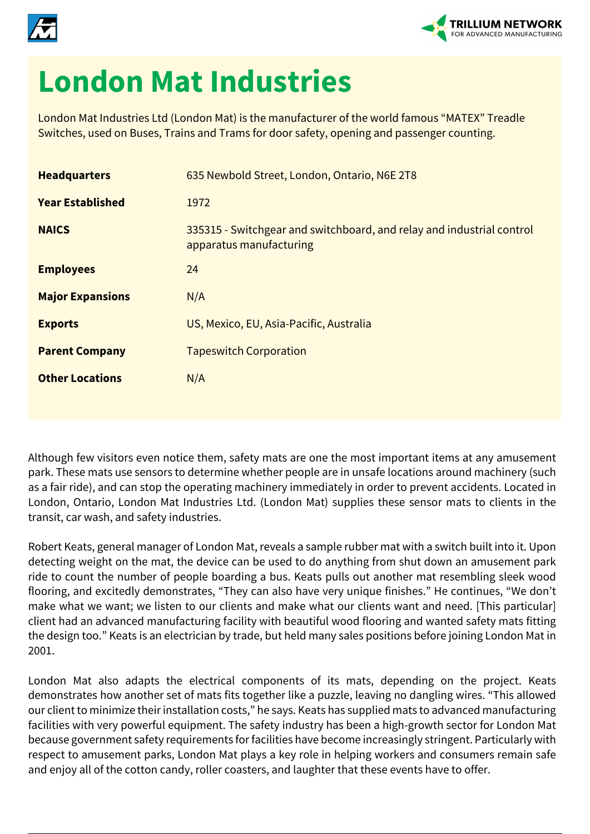



## **London Mat Industries**

London Mat Industries Ltd (London Mat) is the manufacturer of the world famous "MATEX" Treadle Switches, used on Buses, Trains and Trams for door safety, opening and passenger counting.

| <b>Headquarters</b>     | 635 Newbold Street, London, Ontario, N6E 2T8                                                     |
|-------------------------|--------------------------------------------------------------------------------------------------|
| <b>Year Established</b> | 1972                                                                                             |
| <b>NAICS</b>            | 335315 - Switchgear and switchboard, and relay and industrial control<br>apparatus manufacturing |
| <b>Employees</b>        | 24                                                                                               |
| <b>Major Expansions</b> | N/A                                                                                              |
| <b>Exports</b>          | US, Mexico, EU, Asia-Pacific, Australia                                                          |
| <b>Parent Company</b>   | <b>Tapeswitch Corporation</b>                                                                    |
| <b>Other Locations</b>  | N/A                                                                                              |
|                         |                                                                                                  |

Although few visitors even notice them, safety mats are one the most important items at any amusement park. These mats use sensors to determine whether people are in unsafe locations around machinery (such as a fair ride), and can stop the operating machinery immediately in order to prevent accidents. Located in London, Ontario, London Mat Industries Ltd. (London Mat) supplies these sensor mats to clients in the transit, car wash, and safety industries.

Robert Keats, general manager of London Mat, reveals a sample rubber mat with a switch built into it. Upon detecting weight on the mat, the device can be used to do anything from shut down an amusement park ride to count the number of people boarding a bus. Keats pulls out another mat resembling sleek wood flooring, and excitedly demonstrates, "They can also have very unique finishes." He continues, "We don't make what we want; we listen to our clients and make what our clients want and need. [This particular] client had an advanced manufacturing facility with beautiful wood flooring and wanted safety mats fitting the design too." Keats is an electrician by trade, but held many sales positions before joining London Mat in 2001.

London Mat also adapts the electrical components of its mats, depending on the project. Keats demonstrates how another set of mats fits together like a puzzle, leaving no dangling wires. "This allowed our client to minimize their installation costs," he says. Keats has supplied mats to advanced manufacturing facilities with very powerful equipment. The safety industry has been a high-growth sector for London Mat because government safety requirements for facilities have become increasingly stringent. Particularly with respect to amusement parks, London Mat plays a key role in helping workers and consumers remain safe and enjoy all of the cotton candy, roller coasters, and laughter that these events have to offer.